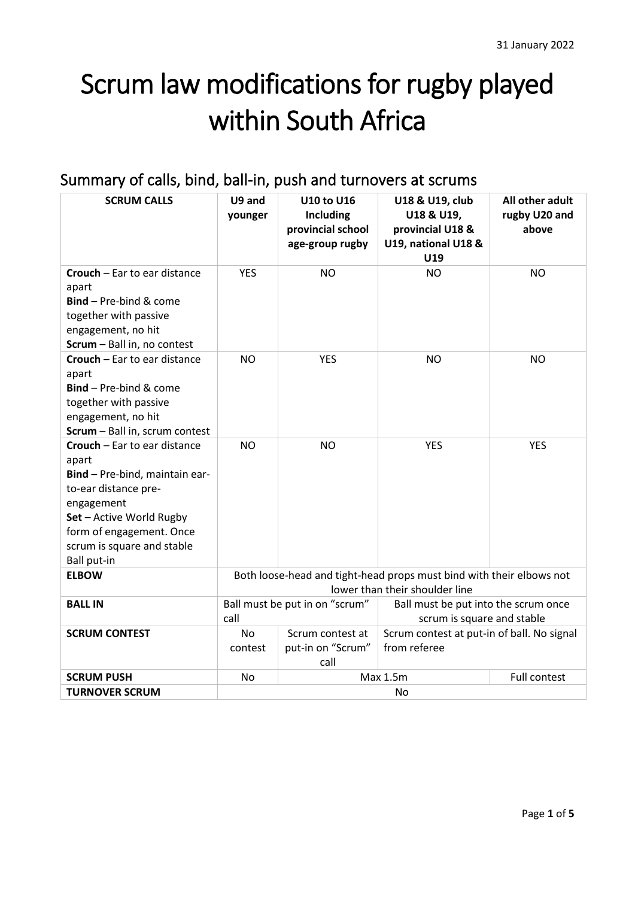# Scrum law modifications for rugby played within South Africa

# Summary of calls, bind, ball-in, push and turnovers at scrums

| <b>SCRUM CALLS</b>                                                                                                                                                                                                 | U9 and<br>younger                                                                                      | <b>U10 to U16</b><br><b>Including</b><br>provincial school<br>age-group rugby | U18 & U19, club<br>U18 & U19,<br>provincial U18 &<br>U19, national U18 &<br>U19 | All other adult<br>rugby U20 and<br>above |
|--------------------------------------------------------------------------------------------------------------------------------------------------------------------------------------------------------------------|--------------------------------------------------------------------------------------------------------|-------------------------------------------------------------------------------|---------------------------------------------------------------------------------|-------------------------------------------|
| <b>Crouch</b> – Ear to ear distance<br>apart<br><b>Bind</b> - Pre-bind & come<br>together with passive<br>engagement, no hit<br>Scrum - Ball in, no contest                                                        | <b>YES</b>                                                                                             | <b>NO</b>                                                                     | <b>NO</b>                                                                       | <b>NO</b>                                 |
| Crouch - Ear to ear distance<br>apart<br>Bind - Pre-bind & come<br>together with passive<br>engagement, no hit<br>Scrum - Ball in, scrum contest                                                                   | <b>NO</b>                                                                                              | <b>YES</b>                                                                    | <b>NO</b>                                                                       | <b>NO</b>                                 |
| Crouch - Ear to ear distance<br>apart<br>Bind - Pre-bind, maintain ear-<br>to-ear distance pre-<br>engagement<br>Set - Active World Rugby<br>form of engagement. Once<br>scrum is square and stable<br>Ball put-in | <b>NO</b>                                                                                              | <b>NO</b>                                                                     | <b>YES</b>                                                                      | <b>YES</b>                                |
| <b>ELBOW</b>                                                                                                                                                                                                       | Both loose-head and tight-head props must bind with their elbows not<br>lower than their shoulder line |                                                                               |                                                                                 |                                           |
| <b>BALL IN</b>                                                                                                                                                                                                     | Ball must be put in on "scrum"<br>call                                                                 |                                                                               | Ball must be put into the scrum once<br>scrum is square and stable              |                                           |
| <b>SCRUM CONTEST</b>                                                                                                                                                                                               | <b>No</b><br>contest                                                                                   | Scrum contest at<br>put-in on "Scrum"<br>call                                 | Scrum contest at put-in of ball. No signal<br>from referee                      |                                           |
| <b>SCRUM PUSH</b>                                                                                                                                                                                                  | Max 1.5m<br>Full contest<br>No                                                                         |                                                                               |                                                                                 |                                           |
| <b>TURNOVER SCRUM</b>                                                                                                                                                                                              | No                                                                                                     |                                                                               |                                                                                 |                                           |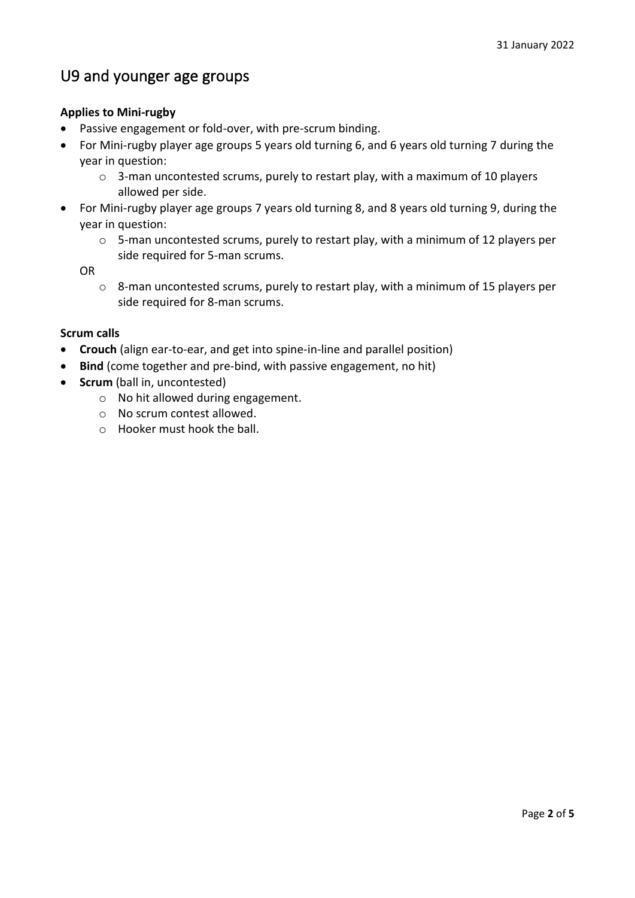## U9 and younger age groups

### **Applies to Mini‐rugby**

- Passive engagement or fold‐over, with pre‐scrum binding.
- For Mini‐rugby player age groups 5 years old turning 6, and 6 years old turning 7 during the year in question:
	- $\circ$  3-man uncontested scrums, purely to restart play, with a maximum of 10 players allowed per side.
- For Mini‐rugby player age groups 7 years old turning 8, and 8 years old turning 9, during the year in question:
	- o 5‐man uncontested scrums, purely to restart play, with a minimum of 12 players per side required for 5‐man scrums.

OR

o 8‐man uncontested scrums, purely to restart play, with a minimum of 15 players per side required for 8‐man scrums.

### **Scrum calls**

- **Crouch** (align ear‐to‐ear, and get into spine‐in‐line and parallel position)
- **Bind** (come together and pre-bind, with passive engagement, no hit)
- **Scrum** (ball in, uncontested)
	- o No hit allowed during engagement.
	- o No scrum contest allowed.
	- o Hooker must hook the ball.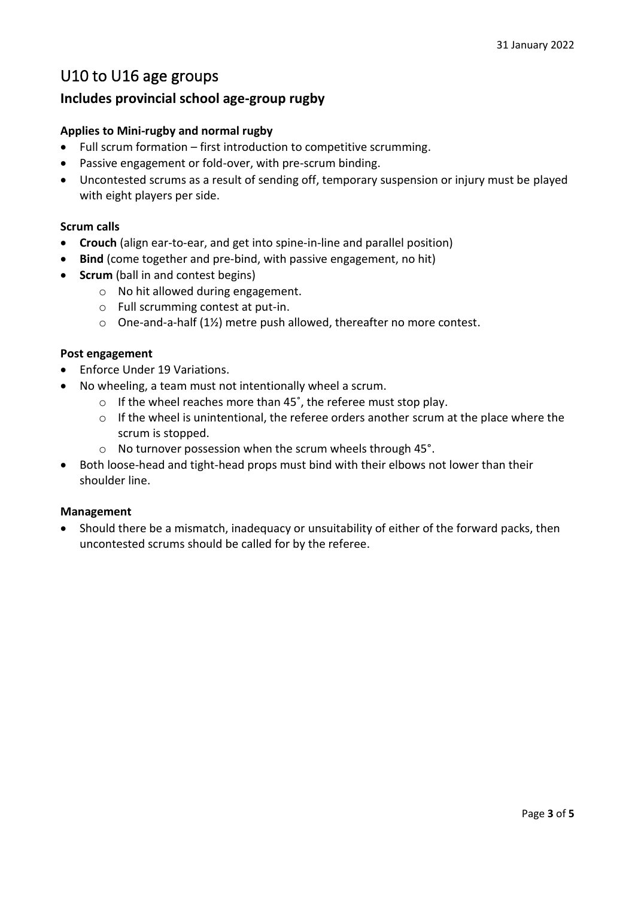### U10 to U16 age groups

### **Includes provincial school age-group rugby**

### **Applies to Mini-rugby and normal rugby**

- Full scrum formation first introduction to competitive scrumming.
- Passive engagement or fold‐over, with pre‐scrum binding.
- Uncontested scrums as a result of sending off, temporary suspension or injury must be played with eight players per side.

### **Scrum calls**

- **Crouch** (align ear‐to‐ear, and get into spine‐in‐line and parallel position)
- **Bind** (come together and pre-bind, with passive engagement, no hit)
- **Scrum** (ball in and contest begins)
	- o No hit allowed during engagement.
	- o Full scrumming contest at put‐in.
	- o One‐and‐a‐half (1½) metre push allowed, thereafter no more contest.

### **Post engagement**

- Enforce Under 19 Variations.
- No wheeling, a team must not intentionally wheel a scrum.
	- o If the wheel reaches more than 45˚, the referee must stop play.
	- o If the wheel is unintentional, the referee orders another scrum at the place where the scrum is stopped.
	- o No turnover possession when the scrum wheels through 45°.
- Both loose‐head and tight‐head props must bind with their elbows not lower than their shoulder line.

### **Management**

• Should there be a mismatch, inadequacy or unsuitability of either of the forward packs, then uncontested scrums should be called for by the referee.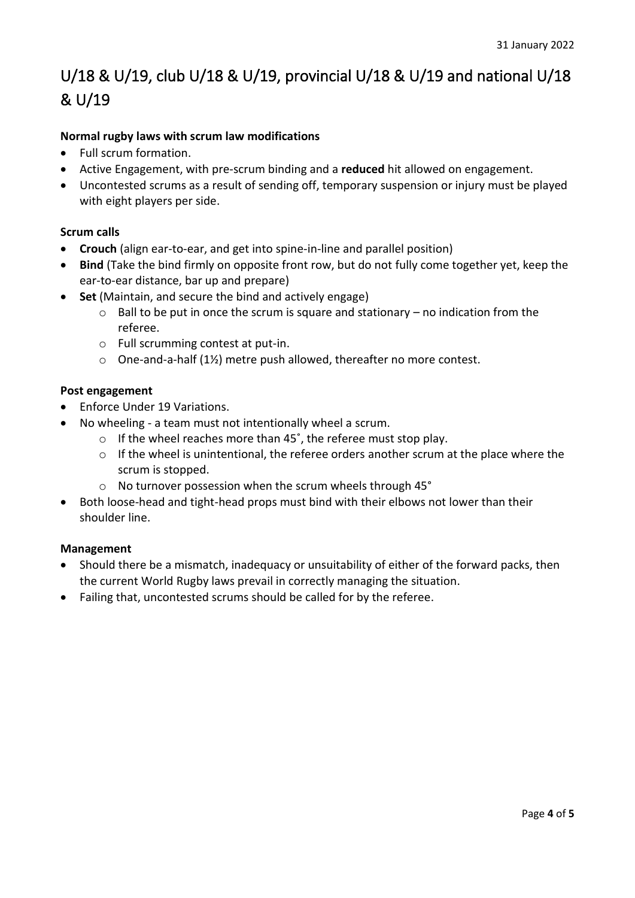# U/18 & U/19, club U/18 & U/19, provincial U/18 & U/19 and national U/18 & U/19

### **Normal rugby laws with scrum law modifications**

- Full scrum formation.
- Active Engagement, with pre‐scrum binding and a **reduced** hit allowed on engagement.
- Uncontested scrums as a result of sending off, temporary suspension or injury must be played with eight players per side.

### **Scrum calls**

- **Crouch** (align ear-to-ear, and get into spine-in-line and parallel position)
- **Bind** (Take the bind firmly on opposite front row, but do not fully come together yet, keep the ear-to-ear distance, bar up and prepare)
- **Set** (Maintain, and secure the bind and actively engage)
	- $\circ$  Ball to be put in once the scrum is square and stationary no indication from the referee.
	- o Full scrumming contest at put‐in.
	- o One‐and‐a‐half (1½) metre push allowed, thereafter no more contest.

### **Post engagement**

- Enforce Under 19 Variations.
- No wheeling a team must not intentionally wheel a scrum.
	- o If the wheel reaches more than 45˚, the referee must stop play.
	- $\circ$  If the wheel is unintentional, the referee orders another scrum at the place where the scrum is stopped.
	- o No turnover possession when the scrum wheels through 45°
- Both loose‐head and tight‐head props must bind with their elbows not lower than their shoulder line.

### **Management**

- Should there be a mismatch, inadequacy or unsuitability of either of the forward packs, then the current World Rugby laws prevail in correctly managing the situation.
- Failing that, uncontested scrums should be called for by the referee.